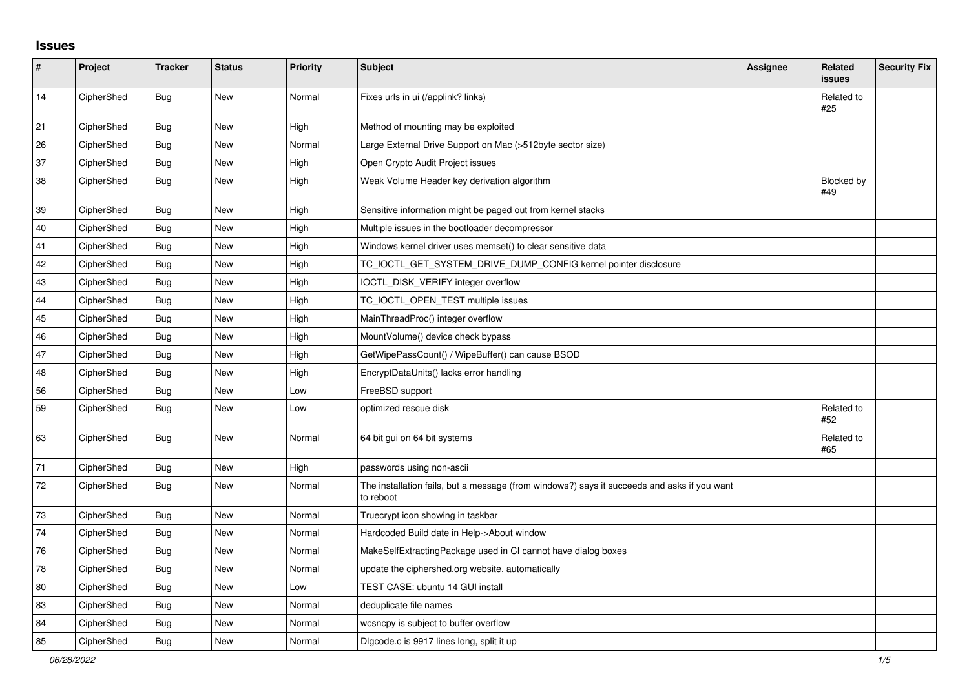## **Issues**

| $\pmb{\#}$ | Project    | <b>Tracker</b> | <b>Status</b> | <b>Priority</b> | <b>Subject</b>                                                                                           | <b>Assignee</b> | Related<br><b>issues</b> | <b>Security Fix</b> |
|------------|------------|----------------|---------------|-----------------|----------------------------------------------------------------------------------------------------------|-----------------|--------------------------|---------------------|
| 14         | CipherShed | <b>Bug</b>     | <b>New</b>    | Normal          | Fixes urls in ui (/applink? links)                                                                       |                 | Related to<br>#25        |                     |
| 21         | CipherShed | Bug            | <b>New</b>    | High            | Method of mounting may be exploited                                                                      |                 |                          |                     |
| 26         | CipherShed | Bug            | New           | Normal          | Large External Drive Support on Mac (>512byte sector size)                                               |                 |                          |                     |
| 37         | CipherShed | Bug            | <b>New</b>    | High            | Open Crypto Audit Project issues                                                                         |                 |                          |                     |
| 38         | CipherShed | <b>Bug</b>     | New           | High            | Weak Volume Header key derivation algorithm                                                              |                 | <b>Blocked by</b><br>#49 |                     |
| 39         | CipherShed | Bug            | <b>New</b>    | High            | Sensitive information might be paged out from kernel stacks                                              |                 |                          |                     |
| 40         | CipherShed | Bug            | New           | High            | Multiple issues in the bootloader decompressor                                                           |                 |                          |                     |
| 41         | CipherShed | Bug            | New           | High            | Windows kernel driver uses memset() to clear sensitive data                                              |                 |                          |                     |
| 42         | CipherShed | Bug            | <b>New</b>    | High            | TC_IOCTL_GET_SYSTEM_DRIVE_DUMP_CONFIG kernel pointer disclosure                                          |                 |                          |                     |
| 43         | CipherShed | <b>Bug</b>     | New           | High            | IOCTL_DISK_VERIFY integer overflow                                                                       |                 |                          |                     |
| 44         | CipherShed | <b>Bug</b>     | <b>New</b>    | High            | TC_IOCTL_OPEN_TEST multiple issues                                                                       |                 |                          |                     |
| 45         | CipherShed | Bug            | <b>New</b>    | High            | MainThreadProc() integer overflow                                                                        |                 |                          |                     |
| 46         | CipherShed | Bug            | New           | High            | MountVolume() device check bypass                                                                        |                 |                          |                     |
| 47         | CipherShed | Bug            | <b>New</b>    | High            | GetWipePassCount() / WipeBuffer() can cause BSOD                                                         |                 |                          |                     |
| 48         | CipherShed | Bug            | New           | High            | EncryptDataUnits() lacks error handling                                                                  |                 |                          |                     |
| 56         | CipherShed | Bug            | New           | Low             | FreeBSD support                                                                                          |                 |                          |                     |
| 59         | CipherShed | Bug            | <b>New</b>    | Low             | optimized rescue disk                                                                                    |                 | Related to<br>#52        |                     |
| 63         | CipherShed | Bug            | <b>New</b>    | Normal          | 64 bit gui on 64 bit systems                                                                             |                 | Related to<br>#65        |                     |
| 71         | CipherShed | <b>Bug</b>     | <b>New</b>    | High            | passwords using non-ascii                                                                                |                 |                          |                     |
| 72         | CipherShed | <b>Bug</b>     | <b>New</b>    | Normal          | The installation fails, but a message (from windows?) says it succeeds and asks if you want<br>to reboot |                 |                          |                     |
| 73         | CipherShed | <b>Bug</b>     | <b>New</b>    | Normal          | Truecrypt icon showing in taskbar                                                                        |                 |                          |                     |
| 74         | CipherShed | <b>Bug</b>     | New           | Normal          | Hardcoded Build date in Help->About window                                                               |                 |                          |                     |
| 76         | CipherShed | <b>Bug</b>     | New           | Normal          | MakeSelfExtractingPackage used in CI cannot have dialog boxes                                            |                 |                          |                     |
| 78         | CipherShed | Bug            | New           | Normal          | update the ciphershed.org website, automatically                                                         |                 |                          |                     |
| 80         | CipherShed | <b>Bug</b>     | <b>New</b>    | Low             | TEST CASE: ubuntu 14 GUI install                                                                         |                 |                          |                     |
| 83         | CipherShed | <b>Bug</b>     | New           | Normal          | deduplicate file names                                                                                   |                 |                          |                     |
| 84         | CipherShed | Bug            | <b>New</b>    | Normal          | wcsncpy is subject to buffer overflow                                                                    |                 |                          |                     |
| 85         | CipherShed | Bug            | New           | Normal          | Digcode.c is 9917 lines long, split it up                                                                |                 |                          |                     |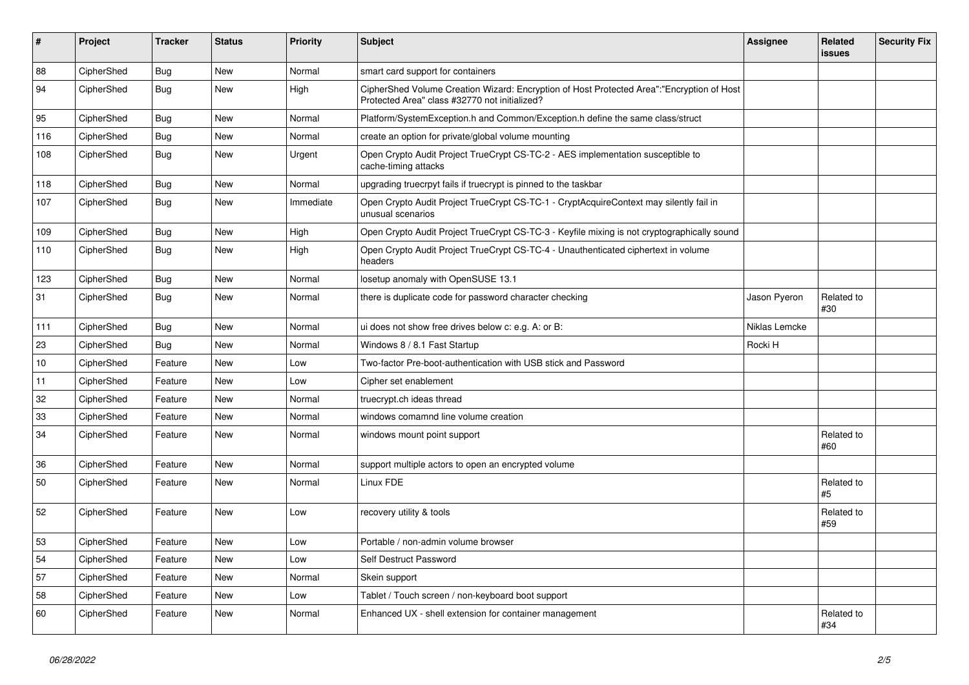| $\vert$ # | Project    | <b>Tracker</b> | <b>Status</b> | <b>Priority</b> | <b>Subject</b>                                                                                                                             | <b>Assignee</b> | <b>Related</b><br><b>issues</b> | <b>Security Fix</b> |
|-----------|------------|----------------|---------------|-----------------|--------------------------------------------------------------------------------------------------------------------------------------------|-----------------|---------------------------------|---------------------|
| 88        | CipherShed | Bug            | <b>New</b>    | Normal          | smart card support for containers                                                                                                          |                 |                                 |                     |
| 94        | CipherShed | Bug            | New           | High            | CipherShed Volume Creation Wizard: Encryption of Host Protected Area":"Encryption of Host<br>Protected Area" class #32770 not initialized? |                 |                                 |                     |
| 95        | CipherShed | <b>Bug</b>     | <b>New</b>    | Normal          | Platform/SystemException.h and Common/Exception.h define the same class/struct                                                             |                 |                                 |                     |
| 116       | CipherShed | Bug            | <b>New</b>    | Normal          | create an option for private/global volume mounting                                                                                        |                 |                                 |                     |
| 108       | CipherShed | <b>Bug</b>     | New           | Urgent          | Open Crypto Audit Project TrueCrypt CS-TC-2 - AES implementation susceptible to<br>cache-timing attacks                                    |                 |                                 |                     |
| 118       | CipherShed | <b>Bug</b>     | <b>New</b>    | Normal          | upgrading truecrpyt fails if truecrypt is pinned to the taskbar                                                                            |                 |                                 |                     |
| 107       | CipherShed | <b>Bug</b>     | New           | Immediate       | Open Crypto Audit Project TrueCrypt CS-TC-1 - CryptAcquireContext may silently fail in<br>unusual scenarios                                |                 |                                 |                     |
| 109       | CipherShed | <b>Bug</b>     | <b>New</b>    | High            | Open Crypto Audit Project TrueCrypt CS-TC-3 - Keyfile mixing is not cryptographically sound                                                |                 |                                 |                     |
| 110       | CipherShed | <b>Bug</b>     | <b>New</b>    | High            | Open Crypto Audit Project TrueCrypt CS-TC-4 - Unauthenticated ciphertext in volume<br>headers                                              |                 |                                 |                     |
| 123       | CipherShed | Bug            | New           | Normal          | losetup anomaly with OpenSUSE 13.1                                                                                                         |                 |                                 |                     |
| 31        | CipherShed | <b>Bug</b>     | New           | Normal          | there is duplicate code for password character checking                                                                                    | Jason Pyeron    | Related to<br>#30               |                     |
| 111       | CipherShed | Bug            | <b>New</b>    | Normal          | ui does not show free drives below c: e.g. A: or B:                                                                                        | Niklas Lemcke   |                                 |                     |
| 23        | CipherShed | <b>Bug</b>     | <b>New</b>    | Normal          | Windows 8 / 8.1 Fast Startup                                                                                                               | Rocki H         |                                 |                     |
| 10        | CipherShed | Feature        | <b>New</b>    | Low             | Two-factor Pre-boot-authentication with USB stick and Password                                                                             |                 |                                 |                     |
| 11        | CipherShed | Feature        | New           | Low             | Cipher set enablement                                                                                                                      |                 |                                 |                     |
| 32        | CipherShed | Feature        | New           | Normal          | truecrypt.ch ideas thread                                                                                                                  |                 |                                 |                     |
| 33        | CipherShed | Feature        | <b>New</b>    | Normal          | windows comamnd line volume creation                                                                                                       |                 |                                 |                     |
| 34        | CipherShed | Feature        | New           | Normal          | windows mount point support                                                                                                                |                 | Related to<br>#60               |                     |
| 36        | CipherShed | Feature        | <b>New</b>    | Normal          | support multiple actors to open an encrypted volume                                                                                        |                 |                                 |                     |
| 50        | CipherShed | Feature        | New           | Normal          | Linux FDE                                                                                                                                  |                 | Related to<br>#5                |                     |
| 52        | CipherShed | Feature        | New           | Low             | recovery utility & tools                                                                                                                   |                 | Related to<br>#59               |                     |
| 53        | CipherShed | Feature        | <b>New</b>    | Low             | Portable / non-admin volume browser                                                                                                        |                 |                                 |                     |
| 54        | CipherShed | Feature        | New           | Low             | Self Destruct Password                                                                                                                     |                 |                                 |                     |
| 57        | CipherShed | Feature        | New           | Normal          | Skein support                                                                                                                              |                 |                                 |                     |
| 58        | CipherShed | Feature        | New           | Low             | Tablet / Touch screen / non-keyboard boot support                                                                                          |                 |                                 |                     |
| 60        | CipherShed | Feature        | New           | Normal          | Enhanced UX - shell extension for container management                                                                                     |                 | Related to<br>#34               |                     |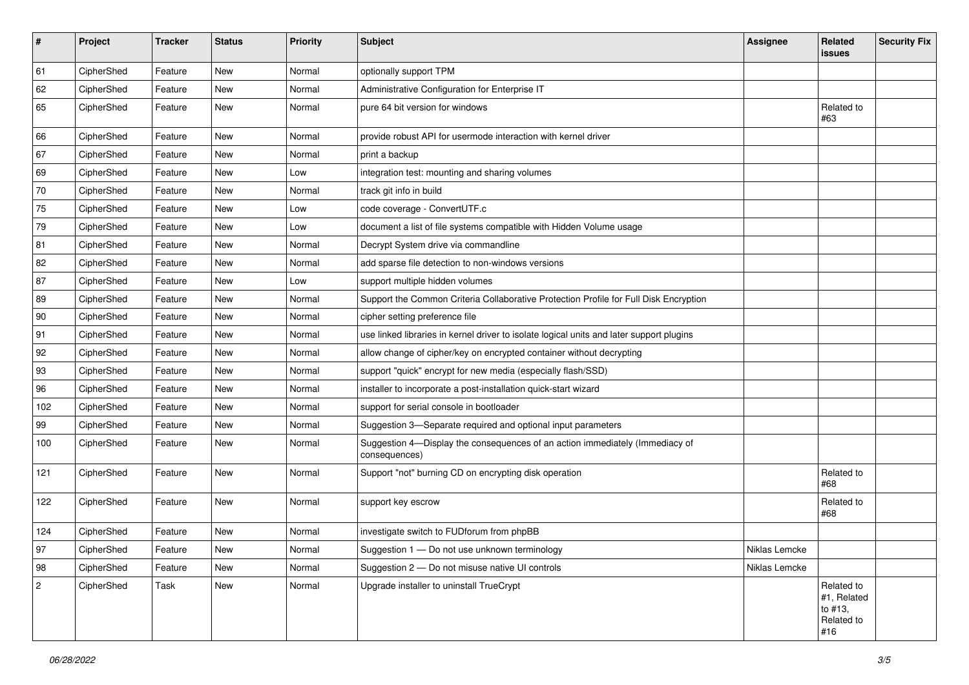| $\sharp$         | Project    | <b>Tracker</b> | <b>Status</b> | <b>Priority</b> | Subject                                                                                       | <b>Assignee</b> | Related<br>issues                                         | <b>Security Fix</b> |
|------------------|------------|----------------|---------------|-----------------|-----------------------------------------------------------------------------------------------|-----------------|-----------------------------------------------------------|---------------------|
| 61               | CipherShed | Feature        | New           | Normal          | optionally support TPM                                                                        |                 |                                                           |                     |
| 62               | CipherShed | Feature        | New           | Normal          | Administrative Configuration for Enterprise IT                                                |                 |                                                           |                     |
| 65               | CipherShed | Feature        | New           | Normal          | pure 64 bit version for windows                                                               |                 | Related to<br>#63                                         |                     |
| 66               | CipherShed | Feature        | New           | Normal          | provide robust API for usermode interaction with kernel driver                                |                 |                                                           |                     |
| 67               | CipherShed | Feature        | New           | Normal          | print a backup                                                                                |                 |                                                           |                     |
| 69               | CipherShed | Feature        | New           | Low             | integration test: mounting and sharing volumes                                                |                 |                                                           |                     |
| 70               | CipherShed | Feature        | New           | Normal          | track git info in build                                                                       |                 |                                                           |                     |
| 75               | CipherShed | Feature        | New           | Low             | code coverage - ConvertUTF.c                                                                  |                 |                                                           |                     |
| 79               | CipherShed | Feature        | New           | Low             | document a list of file systems compatible with Hidden Volume usage                           |                 |                                                           |                     |
| 81               | CipherShed | Feature        | <b>New</b>    | Normal          | Decrypt System drive via commandline                                                          |                 |                                                           |                     |
| 82               | CipherShed | Feature        | New           | Normal          | add sparse file detection to non-windows versions                                             |                 |                                                           |                     |
| 87               | CipherShed | Feature        | <b>New</b>    | Low             | support multiple hidden volumes                                                               |                 |                                                           |                     |
| 89               | CipherShed | Feature        | New           | Normal          | Support the Common Criteria Collaborative Protection Profile for Full Disk Encryption         |                 |                                                           |                     |
| 90               | CipherShed | Feature        | New           | Normal          | cipher setting preference file                                                                |                 |                                                           |                     |
| 91               | CipherShed | Feature        | <b>New</b>    | Normal          | use linked libraries in kernel driver to isolate logical units and later support plugins      |                 |                                                           |                     |
| 92               | CipherShed | Feature        | New           | Normal          | allow change of cipher/key on encrypted container without decrypting                          |                 |                                                           |                     |
| 93               | CipherShed | Feature        | New           | Normal          | support "quick" encrypt for new media (especially flash/SSD)                                  |                 |                                                           |                     |
| 96               | CipherShed | Feature        | New           | Normal          | installer to incorporate a post-installation quick-start wizard                               |                 |                                                           |                     |
| 102              | CipherShed | Feature        | New           | Normal          | support for serial console in bootloader                                                      |                 |                                                           |                     |
| 99               | CipherShed | Feature        | New           | Normal          | Suggestion 3-Separate required and optional input parameters                                  |                 |                                                           |                     |
| 100              | CipherShed | Feature        | New           | Normal          | Suggestion 4-Display the consequences of an action immediately (Immediacy of<br>consequences) |                 |                                                           |                     |
| 121              | CipherShed | Feature        | New           | Normal          | Support "not" burning CD on encrypting disk operation                                         |                 | Related to<br>#68                                         |                     |
| 122              | CipherShed | Feature        | New           | Normal          | support key escrow                                                                            |                 | Related to<br>#68                                         |                     |
| 124              | CipherShed | Feature        | New           | Normal          | investigate switch to FUDforum from phpBB                                                     |                 |                                                           |                     |
| 97               | CipherShed | Feature        | New           | Normal          | Suggestion 1 - Do not use unknown terminology                                                 | Niklas Lemcke   |                                                           |                     |
| 98               | CipherShed | Feature        | New           | Normal          | Suggestion 2 - Do not misuse native UI controls                                               | Niklas Lemcke   |                                                           |                     |
| $\boldsymbol{2}$ | CipherShed | Task           | New           | Normal          | Upgrade installer to uninstall TrueCrypt                                                      |                 | Related to<br>#1, Related<br>to #13,<br>Related to<br>#16 |                     |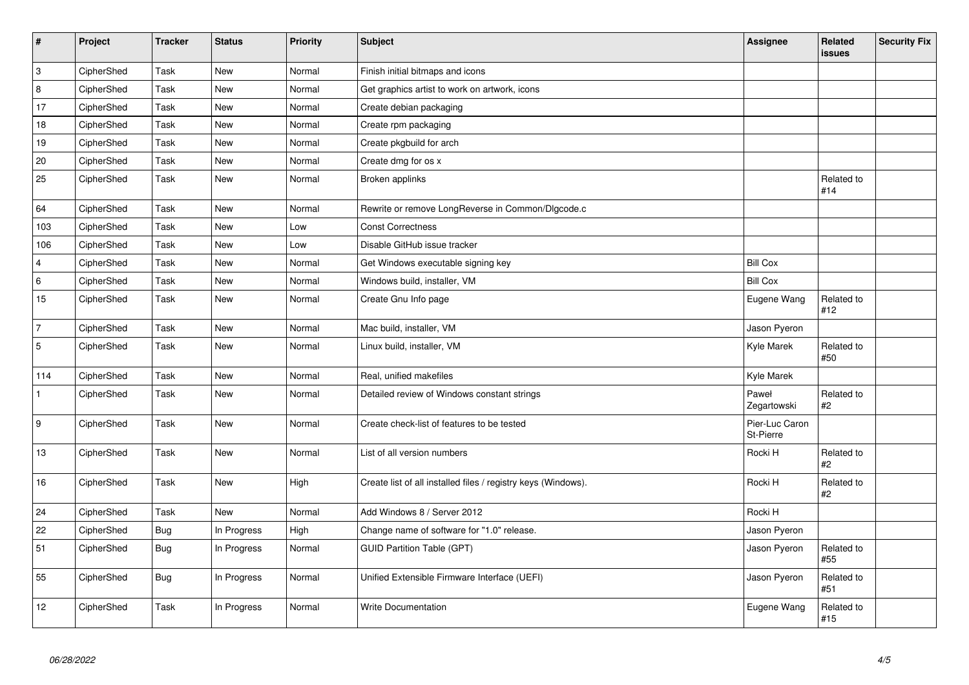| $\sharp$                  | Project    | <b>Tracker</b> | <b>Status</b> | <b>Priority</b> | Subject                                                       | Assignee                    | <b>Related</b><br>issues | <b>Security Fix</b> |
|---------------------------|------------|----------------|---------------|-----------------|---------------------------------------------------------------|-----------------------------|--------------------------|---------------------|
| $\ensuremath{\mathsf{3}}$ | CipherShed | Task           | New           | Normal          | Finish initial bitmaps and icons                              |                             |                          |                     |
| 8                         | CipherShed | Task           | New           | Normal          | Get graphics artist to work on artwork, icons                 |                             |                          |                     |
| 17                        | CipherShed | Task           | New           | Normal          | Create debian packaging                                       |                             |                          |                     |
| 18                        | CipherShed | Task           | <b>New</b>    | Normal          | Create rpm packaging                                          |                             |                          |                     |
| 19                        | CipherShed | Task           | New           | Normal          | Create pkgbuild for arch                                      |                             |                          |                     |
| 20                        | CipherShed | Task           | <b>New</b>    | Normal          | Create dmg for os x                                           |                             |                          |                     |
| 25                        | CipherShed | Task           | <b>New</b>    | Normal          | Broken applinks                                               |                             | Related to<br>#14        |                     |
| 64                        | CipherShed | Task           | <b>New</b>    | Normal          | Rewrite or remove LongReverse in Common/DIgcode.c             |                             |                          |                     |
| 103                       | CipherShed | Task           | <b>New</b>    | Low             | <b>Const Correctness</b>                                      |                             |                          |                     |
| 106                       | CipherShed | Task           | <b>New</b>    | Low             | Disable GitHub issue tracker                                  |                             |                          |                     |
| $\overline{4}$            | CipherShed | Task           | New           | Normal          | Get Windows executable signing key                            | <b>Bill Cox</b>             |                          |                     |
| $\,6\,$                   | CipherShed | Task           | <b>New</b>    | Normal          | Windows build, installer, VM                                  | <b>Bill Cox</b>             |                          |                     |
| $15\,$                    | CipherShed | Task           | <b>New</b>    | Normal          | Create Gnu Info page                                          | Eugene Wang                 | Related to<br>#12        |                     |
| $\overline{7}$            | CipherShed | Task           | New           | Normal          | Mac build, installer, VM                                      | Jason Pyeron                |                          |                     |
| $\overline{5}$            | CipherShed | Task           | New           | Normal          | Linux build, installer, VM                                    | Kyle Marek                  | Related to<br>#50        |                     |
| 114                       | CipherShed | Task           | New           | Normal          | Real, unified makefiles                                       | Kyle Marek                  |                          |                     |
| $\mathbf{1}$              | CipherShed | Task           | New           | Normal          | Detailed review of Windows constant strings                   | Paweł<br>Zegartowski        | Related to<br>#2         |                     |
| 9                         | CipherShed | Task           | <b>New</b>    | Normal          | Create check-list of features to be tested                    | Pier-Luc Caron<br>St-Pierre |                          |                     |
| 13                        | CipherShed | Task           | <b>New</b>    | Normal          | List of all version numbers                                   | Rocki H                     | Related to<br>#2         |                     |
| 16                        | CipherShed | Task           | New           | High            | Create list of all installed files / registry keys (Windows). | Rocki H                     | Related to<br>#2         |                     |
| 24                        | CipherShed | Task           | <b>New</b>    | Normal          | Add Windows 8 / Server 2012                                   | Rocki H                     |                          |                     |
| 22                        | CipherShed | Bug            | In Progress   | High            | Change name of software for "1.0" release.                    | Jason Pyeron                |                          |                     |
| 51                        | CipherShed | <b>Bug</b>     | In Progress   | Normal          | <b>GUID Partition Table (GPT)</b>                             | Jason Pyeron                | Related to<br>#55        |                     |
| 55                        | CipherShed | <b>Bug</b>     | In Progress   | Normal          | Unified Extensible Firmware Interface (UEFI)                  | Jason Pyeron                | Related to<br>#51        |                     |
| 12                        | CipherShed | Task           | In Progress   | Normal          | <b>Write Documentation</b>                                    | Eugene Wang                 | Related to<br>#15        |                     |